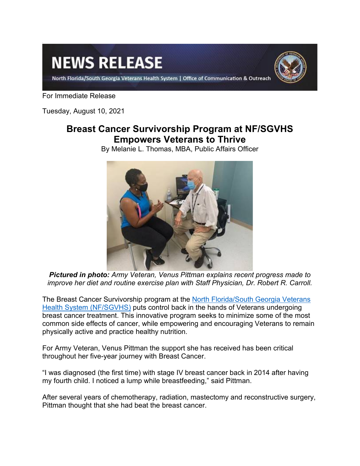# **NEWS RELEASE**

North Florida/South Georgia Veterans Health System | Office of Communication & Outreach



For Immediate Release

Tuesday, August 10, 2021

## **Breast Cancer Survivorship Program at NF/SGVHS Empowers Veterans to Thrive**

By Melanie L. Thomas, MBA, Public Affairs Officer



*Pictured in photo: Army Veteran, Venus Pittman explains recent progress made to improve her diet and routine exercise plan with Staff Physician, Dr. Robert R. Carroll.*

The Breast Cancer Survivorship program at the [North Florida/South Georgia Veterans](https://www.northflorida.va.gov/)  [Health System \(NF/SGVHS\)](https://www.northflorida.va.gov/) puts control back in the hands of Veterans undergoing breast cancer treatment. This innovative program seeks to minimize some of the most common side effects of cancer, while empowering and encouraging Veterans to remain physically active and practice healthy nutrition.

For Army Veteran, Venus Pittman the support she has received has been critical throughout her five-year journey with Breast Cancer.

"I was diagnosed (the first time) with stage IV breast cancer back in 2014 after having my fourth child. I noticed a lump while breastfeeding," said Pittman.

After several years of chemotherapy, radiation, mastectomy and reconstructive surgery, Pittman thought that she had beat the breast cancer.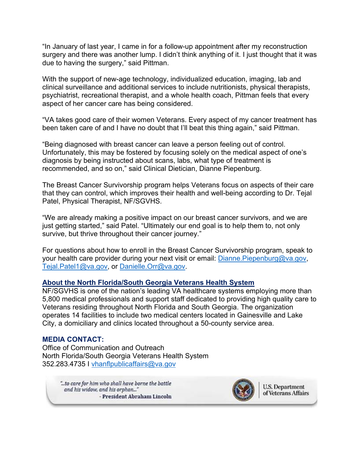"In January of last year, I came in for a follow-up appointment after my reconstruction surgery and there was another lump. I didn't think anything of it. I just thought that it was due to having the surgery," said Pittman.

With the support of new-age technology, individualized education, imaging, lab and clinical surveillance and additional services to include nutritionists, physical therapists, psychiatrist, recreational therapist, and a whole health coach, Pittman feels that every aspect of her cancer care has being considered.

"VA takes good care of their women Veterans. Every aspect of my cancer treatment has been taken care of and I have no doubt that I'll beat this thing again," said Pittman.

"Being diagnosed with breast cancer can leave a person feeling out of control. Unfortunately, this may be fostered by focusing solely on the medical aspect of one's diagnosis by being instructed about scans, labs, what type of treatment is recommended, and so on," said Clinical Dietician, Dianne Piepenburg.

The Breast Cancer Survivorship program helps Veterans focus on aspects of their care that they can control, which improves their health and well-being according to Dr. Tejal Patel, Physical Therapist, NF/SGVHS.

"We are already making a positive impact on our breast cancer survivors, and we are just getting started," said Patel. "Ultimately our end goal is to help them to, not only survive, but thrive throughout their cancer journey."

For questions about how to enroll in the Breast Cancer Survivorship program, speak to your health care provider during your next visit or email: [Dianne.Piepenburg@va.gov,](mailto:Dianne.Piepenburg@va.gov) [Tejal.Patel1@va.gov,](mailto:Tejal.Patel1@va.gov) or [Danielle.Orr@va.gov.](mailto:Danielle.Orr@va.gov)

### **About the North Florida/South Georgia Veterans Health System**

NF/SGVHS is one of the nation's leading VA healthcare systems employing more than 5,800 medical professionals and support staff dedicated to providing high quality care to Veterans residing throughout North Florida and South Georgia. The organization operates 14 facilities to include two medical centers located in Gainesville and Lake City, a domiciliary and clinics located throughout a 50-county service area.

### **MEDIA CONTACT:**

Office of Communication and Outreach North Florida/South Georgia Veterans Health System 352.283.4735 I [vhanflpublicaffairs@va.gov](mailto:vhanflpublicaffairs@va.gov)

> "... to care for him who shall have borne the battle and his widow, and his orphan..." - President Abraham Lincoln



**U.S. Department** of Veterans Affairs